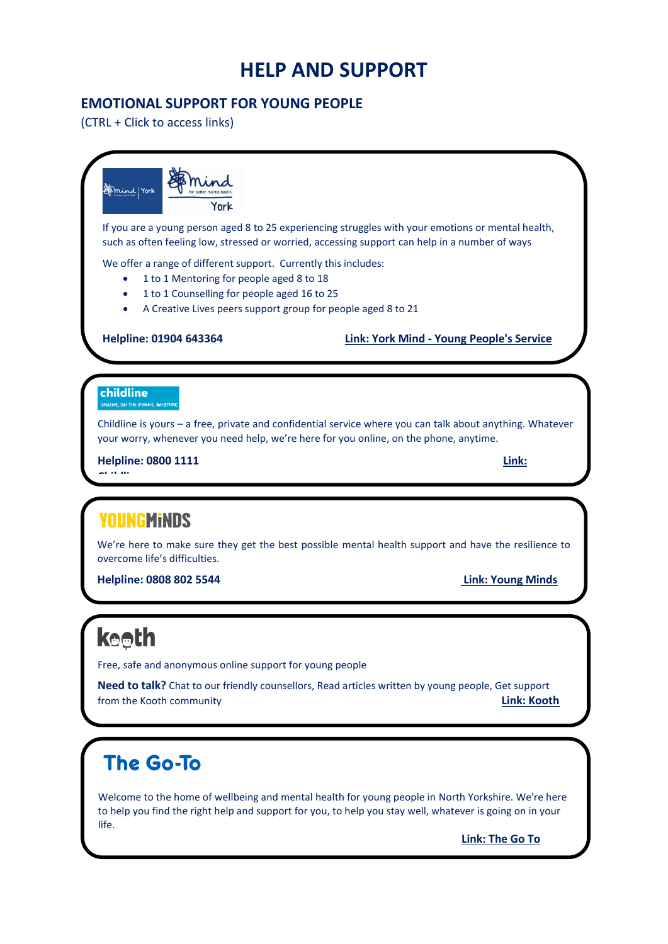# **HELP AND SUPPORT**

# **EMOTIONAL SUPPORT FOR YOUNG PEOPLE**

(CTRL + Click to access links)



Welcome to the home of wellbeing and mental health for young people in North Yorkshire. We're here to help you find the right help and support for you, to help you stay well, whatever is going on in your life.

**[Link: The Go To](https://www.thegoto.org.uk/)**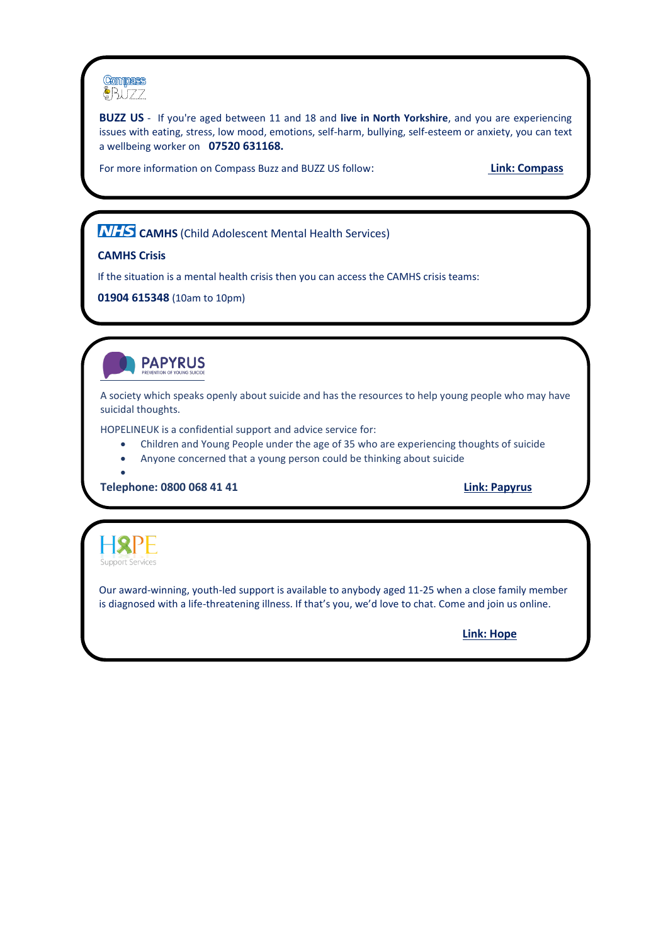

**BUZZ US** - If you're aged between 11 and 18 and **live in North Yorkshire**, and you are experiencing issues with eating, stress, low mood, emotions, self-harm, bullying, self-esteem or anxiety, you can text a wellbeing worker on **07520 631168.**

For more information on Compass Buzz and BUZZ US follow: **[Link: Compass](https://www.compass-uk.org/services/north-yorkshire-compass-buzz/)**

**NHS** CAMHS (Child Adolescent Mental Health Services)

#### **CAMHS Crisis**

If the situation is a mental health crisis then you can access the CAMHS crisis teams:

**01904 615348** (10am to 10pm)



A society which speaks openly about suicide and has the resources to help young people who may have suicidal thoughts.

HOPELINEUK is a confidential support and advice service for:

- Children and Young People under the age of 35 who are experiencing thoughts of suicide
- Anyone concerned that a young person could be thinking about suicide

**Telephone: 0800 068 41 41 [Link: Papyrus](https://papyrus-uk.org/)**



•

Our award-winning, youth-led support is available to anybody aged 11-25 when a close family member is diagnosed with a life-threatening illness. If that's you, we'd love to chat. Come and join us online.

**[Link: Hope](http://www.hopesupport.org.uk/)**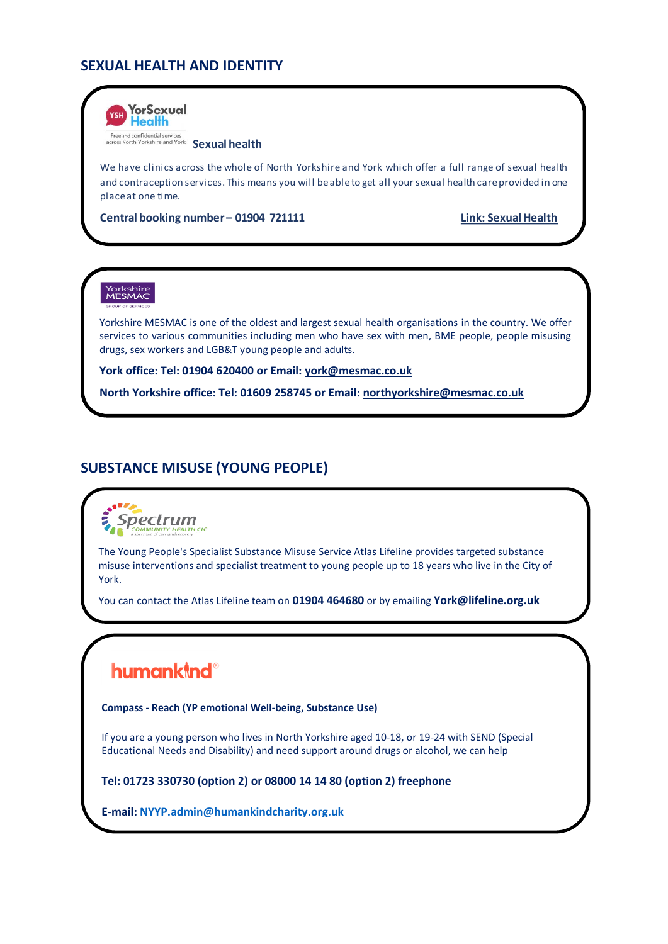# **SEXUAL HEALTH AND IDENTITY**



Free and confidential services<br>across North Yorkshire and York **Sexual health** 

We have clinics across the whole of North Yorkshire and York which offer a full range of sexual health and contraception services. This means you will be able to get all your sexual health care provided in one place at one time.

**Central booking number – 01904 721111 Link: Sexual Health**

# Yorkshire<br>MESMAC

Yorkshire MESMAC is one of the oldest and largest sexual health organisations in the country. We offer services to various communities including men who have sex with men, BME people, people misusing drugs, sex workers and LGB&T young people and adults.

**York office: Tel: 01904 620400 or Email[: york@mesmac.co.uk](mailto:york@mesmac.co.uk)**

**North Yorkshire office: Tel: 01609 258745 or Email[: northyorkshire@mesmac.co.uk](mailto:northyorkshire@mesmac.co.uk)**

### **SUBSTANCE MISUSE (YOUNG PEOPLE)**

Spectrum

The Young People's Specialist Substance Misuse Service Atlas Lifeline provides targeted substance misuse interventions and specialist treatment to young people up to 18 years who live in the City of York.

You can contact the Atlas Lifeline team on **01904 464680** or by emailing **York@lifeline.org.uk**

# **humankind®**

**Compass - Reach (YP emotional Well-being, Substance Use)**

If you are a young person who lives in North Yorkshire aged 10-18, or 19-24 with SEND (Special Educational Needs and Disability) and need support around drugs or alcohol, we can help

**Tel: 01723 330730 (option 2) or 08000 14 14 80 (option 2) freephone** 

**E-mail[: NYYP.admin@humankindcharity.org.uk](mailto:NYYP.admin@humankindcharity.org.uk)**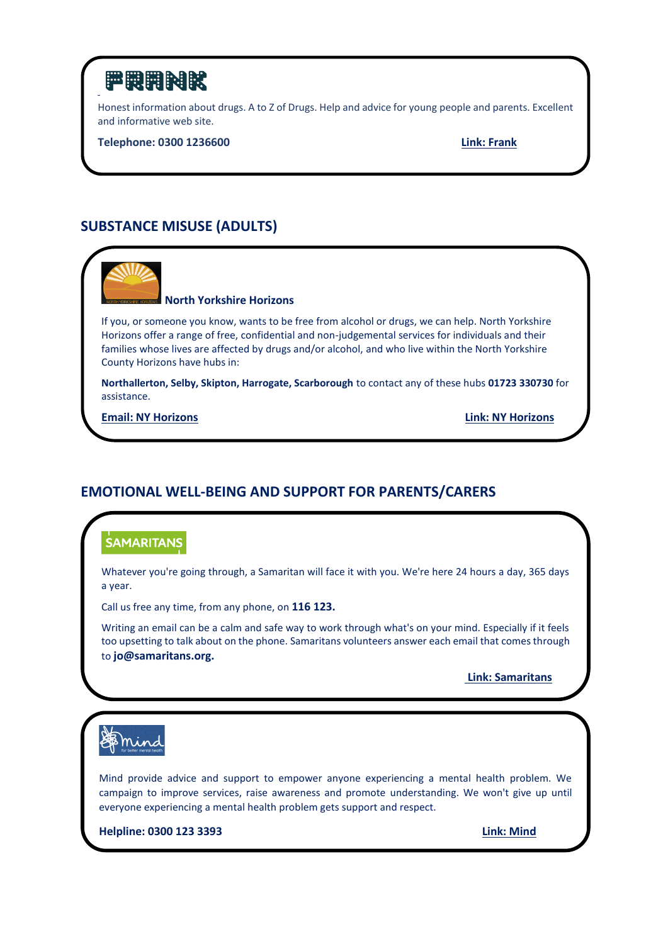

Honest information about drugs. A to Z of Drugs. Help and advice for young people and parents. Excellent and informative web site.

**Telephone: [0300 1236600](tel:03001236600) [Link: Frank](https://www.talktofrank.com/)**

# **SUBSTANCE MISUSE (ADULTS)**



#### **North Yorkshire Horizons**

If you, or someone you know, wants to be free from alcohol or drugs, we can help. North Yorkshire Horizons offer a range of free, confidential and non-judgemental services for individuals and their families whose lives are affected by drugs and/or alcohol, and who live within the North Yorkshire County Horizons have hubs in:

**Northallerton, Selby, Skipton, Harrogate, Scarborough** to contact any of these hubs **01723 330730** for assistance.

**[Email: NY Horizons](mailto:info@nyhorizons.org.uk) [Link: NY Horizons](https://www.nyhorizons.org.uk/)**

### **EMOTIONAL WELL-BEING AND SUPPORT FOR PARENTS/CARERS**

# **SAMARITANS**

Whatever you're going through, a Samaritan will face it with you. We're here 24 hours a day, 365 days a year.

Call us free any time, from any phone, on **116 123.**

Writing an email can be a calm and safe way to work through what's on your mind. Especially if it feels too upsetting to talk about on the phone. Samaritans volunteers answer each email that comes through to **jo@samaritans.org.**

**[Link: Samaritans](https://www.samaritans.org/)**

**\$** min

Mind provide advice and support to empower anyone experiencing a mental health problem. We campaign to improve services, raise awareness and promote understanding. We won't give up until everyone experiencing a mental health problem gets support and respect.

**Helpline: 0300 123 3393 [Link: Mind](https://www.mind.org.uk/)**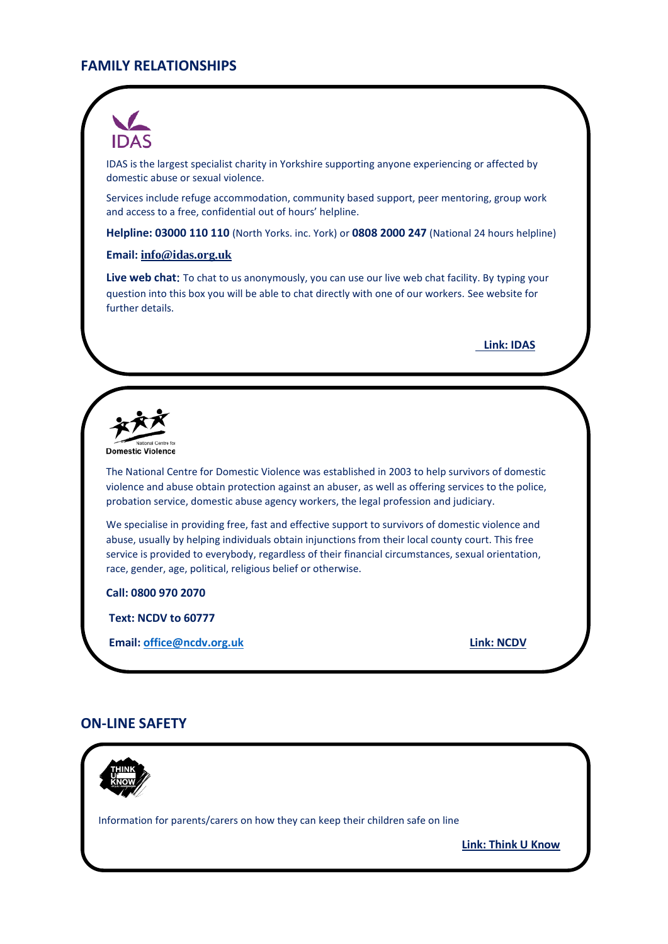## **FAMILY RELATIONSHIPS**



IDAS is the largest specialist charity in Yorkshire supporting anyone experiencing or affected by domestic abuse or sexual violence.

Services include refuge accommodation, community based support, peer mentoring, group work and access to a free, confidential out of hours' helpline.

**Helpline: 03000 110 110** (North Yorks. inc. York) or **0808 2000 247** (National 24 hours helpline)

#### **Email: [info@idas.org.uk](mailto:info@idas.org.uk)**

**Live web chat**: To chat to us anonymously, you can use our live web chat facility. By typing your question into this box you will be able to chat directly with one of our workers. See website for further details.

 **[Link: IDAS](https://www.idas.org.uk/)**

Domestic Violence

The National Centre for Domestic Violence was established in 2003 to help survivors of domestic violence and abuse obtain protection against an abuser, as well as offering services to the police, probation service, domestic abuse agency workers, the legal profession and judiciary.

We specialise in providing free, fast and effective support to survivors of domestic violence and abuse, usually by helping individuals obtain injunctions from their local county court. This free service is provided to everybody, regardless of their financial circumstances, sexual orientation, race, gender, age, political, religious belief or otherwise.

**Call: 0800 970 2070**

**Text: NCDV to 60777**

**Email: [office@ncdv.org.uk](mailto:office@ncdv.org.uk) [Link: NCDV](https://www.ncdv.org.uk/)**

#### **ON-LINE SAFETY**